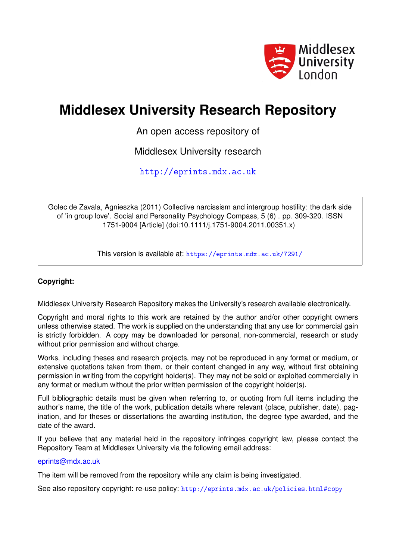

# **Middlesex University Research Repository**

An open access repository of

Middlesex University research

<http://eprints.mdx.ac.uk>

Golec de Zavala, Agnieszka (2011) Collective narcissism and intergroup hostility: the dark side of 'in group love'. Social and Personality Psychology Compass, 5 (6) . pp. 309-320. ISSN 1751-9004 [Article] (doi:10.1111/j.1751-9004.2011.00351.x)

This version is available at: <https://eprints.mdx.ac.uk/7291/>

# **Copyright:**

Middlesex University Research Repository makes the University's research available electronically.

Copyright and moral rights to this work are retained by the author and/or other copyright owners unless otherwise stated. The work is supplied on the understanding that any use for commercial gain is strictly forbidden. A copy may be downloaded for personal, non-commercial, research or study without prior permission and without charge.

Works, including theses and research projects, may not be reproduced in any format or medium, or extensive quotations taken from them, or their content changed in any way, without first obtaining permission in writing from the copyright holder(s). They may not be sold or exploited commercially in any format or medium without the prior written permission of the copyright holder(s).

Full bibliographic details must be given when referring to, or quoting from full items including the author's name, the title of the work, publication details where relevant (place, publisher, date), pagination, and for theses or dissertations the awarding institution, the degree type awarded, and the date of the award.

If you believe that any material held in the repository infringes copyright law, please contact the Repository Team at Middlesex University via the following email address:

# [eprints@mdx.ac.uk](mailto:eprints@mdx.ac.uk)

The item will be removed from the repository while any claim is being investigated.

See also repository copyright: re-use policy: <http://eprints.mdx.ac.uk/policies.html#copy>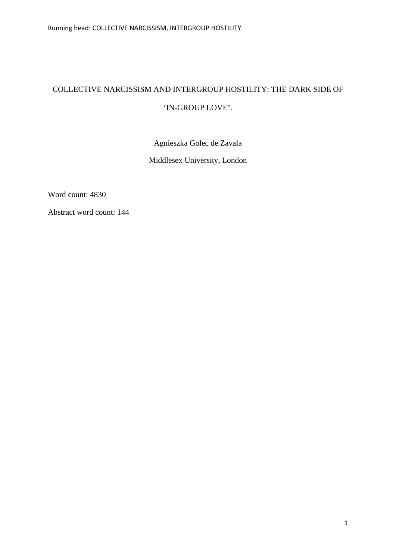# COLLECTIVE NARCISSISM AND INTERGROUP HOSTILITY: THE DARK SIDE OF 'IN-GROUP LOVE'.

Agnieszka Golec de Zavala Middlesex University, London

Word count: 4830

Abstract word count: 144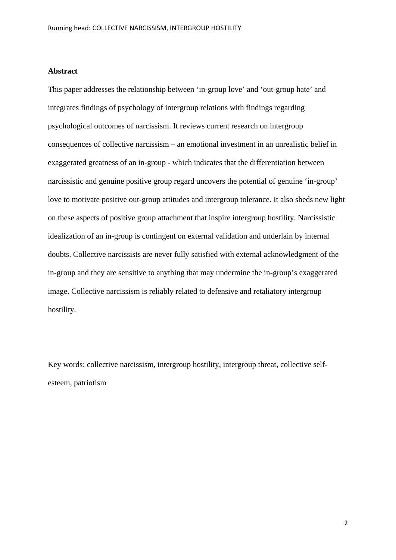# **Abstract**

This paper addresses the relationship between 'in-group love' and 'out-group hate' and integrates findings of psychology of intergroup relations with findings regarding psychological outcomes of narcissism. It reviews current research on intergroup consequences of collective narcissism – an emotional investment in an unrealistic belief in exaggerated greatness of an in-group - which indicates that the differentiation between narcissistic and genuine positive group regard uncovers the potential of genuine 'in-group' love to motivate positive out-group attitudes and intergroup tolerance. It also sheds new light on these aspects of positive group attachment that inspire intergroup hostility. Narcissistic idealization of an in-group is contingent on external validation and underlain by internal doubts. Collective narcissists are never fully satisfied with external acknowledgment of the in-group and they are sensitive to anything that may undermine the in-group's exaggerated image. Collective narcissism is reliably related to defensive and retaliatory intergroup hostility.

Key words: collective narcissism, intergroup hostility, intergroup threat, collective selfesteem, patriotism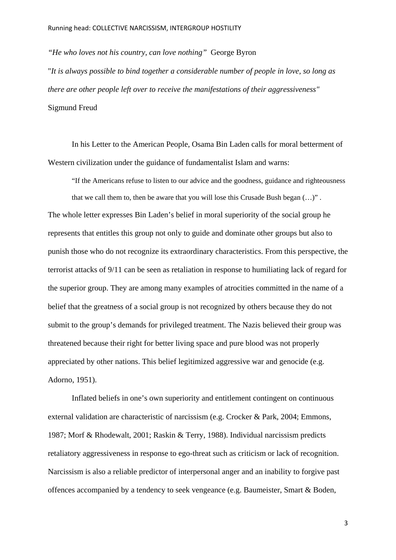*"He who loves not his country, can love nothing"* George Byron "*It is always possible to bind together a considerable number of people in love, so long as there are other people left over to receive the manifestations of their aggressiveness"* Sigmund Freud

In his Letter to the American People, Osama Bin Laden calls for moral betterment of Western civilization under the guidance of fundamentalist Islam and warns:

"If the Americans refuse to listen to our advice and the goodness, guidance and righteousness that we call them to, then be aware that you will lose this Crusade Bush began  $(...)$ ". The whole letter expresses Bin Laden's belief in moral superiority of the social group he represents that entitles this group not only to guide and dominate other groups but also to punish those who do not recognize its extraordinary characteristics. From this perspective, the terrorist attacks of 9/11 can be seen as retaliation in response to humiliating lack of regard for the superior group. They are among many examples of atrocities committed in the name of a belief that the greatness of a social group is not recognized by others because they do not submit to the group's demands for privileged treatment. The Nazis believed their group was threatened because their right for better living space and pure blood was not properly appreciated by other nations. This belief legitimized aggressive war and genocide (e.g. Adorno, 1951).

Inflated beliefs in one's own superiority and entitlement contingent on continuous external validation are characteristic of narcissism (e.g. Crocker & Park, 2004; Emmons, 1987; Morf & Rhodewalt, 2001; Raskin & Terry, 1988). Individual narcissism predicts retaliatory aggressiveness in response to ego-threat such as criticism or lack of recognition. Narcissism is also a reliable predictor of interpersonal anger and an inability to forgive past offences accompanied by a tendency to seek vengeance (e.g. Baumeister, Smart & Boden,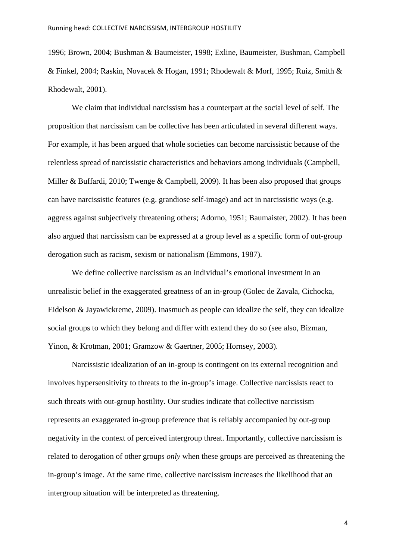1996; Brown, 2004; Bushman & Baumeister, 1998; Exline, Baumeister, Bushman, Campbell & Finkel, 2004; Raskin, Novacek & Hogan, 1991; Rhodewalt & Morf, 1995; Ruiz, Smith & Rhodewalt, 2001).

We claim that individual narcissism has a counterpart at the social level of self. The proposition that narcissism can be collective has been articulated in several different ways. For example, it has been argued that whole societies can become narcissistic because of the relentless spread of narcissistic characteristics and behaviors among individuals (Campbell, Miller & Buffardi, 2010; Twenge & Campbell, 2009). It has been also proposed that groups can have narcissistic features (e.g. grandiose self-image) and act in narcissistic ways (e.g. aggress against subjectively threatening others; Adorno, 1951; Baumaister, 2002). It has been also argued that narcissism can be expressed at a group level as a specific form of out-group derogation such as racism, sexism or nationalism (Emmons, 1987).

We define collective narcissism as an individual's emotional investment in an unrealistic belief in the exaggerated greatness of an in-group (Golec de Zavala, Cichocka, Eidelson & Jayawickreme, 2009). Inasmuch as people can idealize the self, they can idealize social groups to which they belong and differ with extend they do so (see also, Bizman, Yinon, & Krotman, 2001; Gramzow & Gaertner, 2005; Hornsey, 2003).

Narcissistic idealization of an in-group is contingent on its external recognition and involves hypersensitivity to threats to the in-group's image. Collective narcissists react to such threats with out-group hostility. Our studies indicate that collective narcissism represents an exaggerated in-group preference that is reliably accompanied by out-group negativity in the context of perceived intergroup threat. Importantly, collective narcissism is related to derogation of other groups *only* when these groups are perceived as threatening the in-group's image. At the same time, collective narcissism increases the likelihood that an intergroup situation will be interpreted as threatening.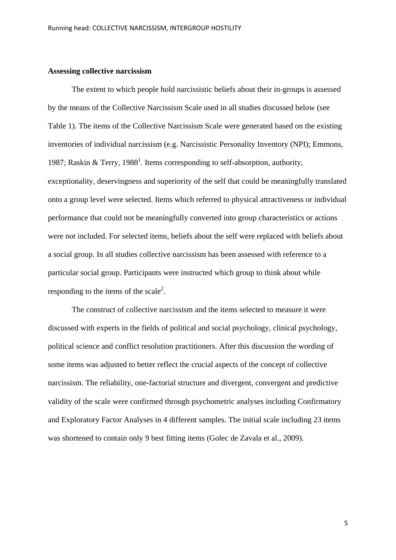### **Assessing collective narcissism**

The extent to which people hold narcissistic beliefs about their in-groups is assessed by the means of the Collective Narcissism Scale used in all studies discussed below (see Table 1). The items of the Collective Narcissism Scale were generated based on the existing inventories of individual narcissism (e.g. Narcissistic Personality Inventory (NPI); Emmons, 1987; Raskin & Terry, 1988<sup>1</sup>. Items corresponding to self-absorption, authority, exceptionality, deservingness and superiority of the self that could be meaningfully translated onto a group level were selected. Items which referred to physical attractiveness or individual performance that could not be meaningfully converted into group characteristics or actions were not included. For selected items, beliefs about the self were replaced with beliefs about a social group. In all studies collective narcissism has been assessed with reference to a particular social group. Participants were instructed which group to think about while responding to the items of the scale<sup>2</sup>.

The construct of collective narcissism and the items selected to measure it were discussed with experts in the fields of political and social psychology, clinical psychology, political science and conflict resolution practitioners. After this discussion the wording of some items was adjusted to better reflect the crucial aspects of the concept of collective narcissism. The reliability, one-factorial structure and divergent, convergent and predictive validity of the scale were confirmed through psychometric analyses including Confirmatory and Exploratory Factor Analyses in 4 different samples. The initial scale including 23 items was shortened to contain only 9 best fitting items (Golec de Zavala et al., 2009).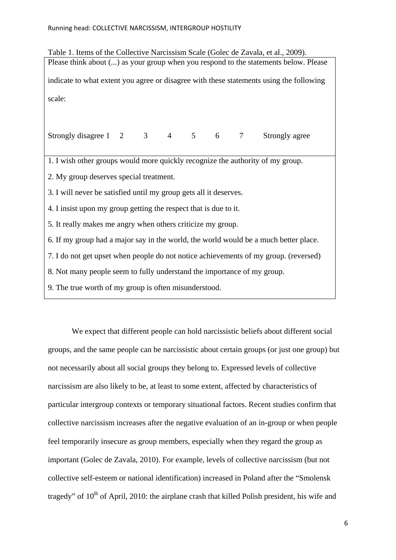| Table 1. Items of the Collective Narcissism Scale (Golec de Zavala, et al., 2009).      |
|-----------------------------------------------------------------------------------------|
| Please think about () as your group when you respond to the statements below. Please    |
| indicate to what extent you agree or disagree with these statements using the following |
| scale:                                                                                  |
| Strongly disagree 1 2 3 4 5 6 7 Strongly agree                                          |
| 1. I wish other groups would more quickly recognize the authority of my group.          |
| 2. My group deserves special treatment.                                                 |
| 3. I will never be satisfied until my group gets all it deserves.                       |
| 4. I insist upon my group getting the respect that is due to it.                        |
| 5. It really makes me angry when others criticize my group.                             |
| 6. If my group had a major say in the world, the world would be a much better place.    |
| 7. I do not get upset when people do not notice achievements of my group. (reversed)    |
| 8. Not many people seem to fully understand the importance of my group.                 |
| 9. The true worth of my group is often misunderstood.                                   |

We expect that different people can hold narcissistic beliefs about different social groups, and the same people can be narcissistic about certain groups (or just one group) but not necessarily about all social groups they belong to. Expressed levels of collective narcissism are also likely to be, at least to some extent, affected by characteristics of particular intergroup contexts or temporary situational factors. Recent studies confirm that collective narcissism increases after the negative evaluation of an in-group or when people feel temporarily insecure as group members, especially when they regard the group as important (Golec de Zavala, 2010). For example, levels of collective narcissism (but not collective self-esteem or national identification) increased in Poland after the "Smolensk tragedy" of 10<sup>th</sup> of April, 2010: the airplane crash that killed Polish president, his wife and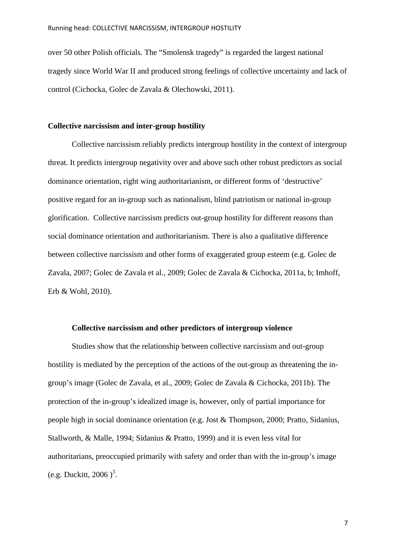over 50 other Polish officials. The "Smolensk tragedy" is regarded the largest national tragedy since World War II and produced strong feelings of collective uncertainty and lack of control (Cichocka, Golec de Zavala & Olechowski, 2011).

#### **Collective narcissism and inter-group hostility**

Collective narcissism reliably predicts intergroup hostility in the context of intergroup threat. It predicts intergroup negativity over and above such other robust predictors as social dominance orientation, right wing authoritarianism, or different forms of 'destructive' positive regard for an in-group such as nationalism, blind patriotism or national in-group glorification. Collective narcissism predicts out-group hostility for different reasons than social dominance orientation and authoritarianism. There is also a qualitative difference between collective narcissism and other forms of exaggerated group esteem (e.g. Golec de Zavala, 2007; Golec de Zavala et al., 2009; Golec de Zavala & Cichocka, 2011a, b; Imhoff, Erb & Wohl, 2010).

#### **Collective narcissism and other predictors of intergroup violence**

Studies show that the relationship between collective narcissism and out-group hostility is mediated by the perception of the actions of the out-group as threatening the ingroup's image (Golec de Zavala, et al., 2009; Golec de Zavala & Cichocka, 2011b). The protection of the in-group's idealized image is, however, only of partial importance for people high in social dominance orientation (e.g. Jost & Thompson, 2000; Pratto, Sidanius, Stallworth, & Malle, 1994; Sidanius & Pratto, 1999) and it is even less vital for authoritarians, preoccupied primarily with safety and order than with the in-group's image (e.g. Duckitt, 2006)<sup>3</sup>.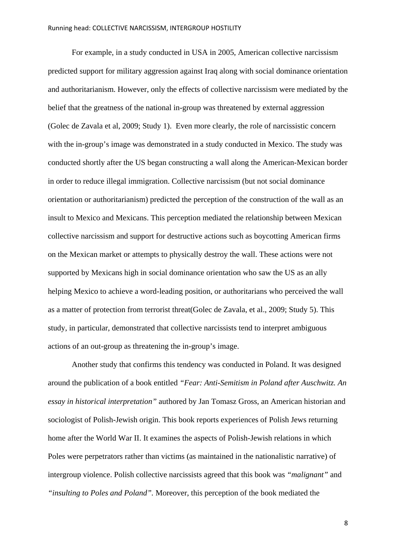For example, in a study conducted in USA in 2005, American collective narcissism predicted support for military aggression against Iraq along with social dominance orientation and authoritarianism. However, only the effects of collective narcissism were mediated by the belief that the greatness of the national in-group was threatened by external aggression (Golec de Zavala et al, 2009; Study 1). Even more clearly, the role of narcissistic concern with the in-group's image was demonstrated in a study conducted in Mexico. The study was conducted shortly after the US began constructing a wall along the American-Mexican border in order to reduce illegal immigration. Collective narcissism (but not social dominance orientation or authoritarianism) predicted the perception of the construction of the wall as an insult to Mexico and Mexicans. This perception mediated the relationship between Mexican collective narcissism and support for destructive actions such as boycotting American firms on the Mexican market or attempts to physically destroy the wall. These actions were not supported by Mexicans high in social dominance orientation who saw the US as an ally helping Mexico to achieve a word-leading position, or authoritarians who perceived the wall as a matter of protection from terrorist threat(Golec de Zavala, et al., 2009; Study 5). This study, in particular, demonstrated that collective narcissists tend to interpret ambiguous actions of an out-group as threatening the in-group's image.

Another study that confirms this tendency was conducted in Poland. It was designed around the publication of a book entitled *"Fear: Anti-Semitism in Poland after Auschwitz. An essay in historical interpretation"* authored by Jan Tomasz Gross, an American historian and sociologist of Polish-Jewish origin. This book reports experiences of Polish Jews returning home after the World War II. It examines the aspects of Polish-Jewish relations in which Poles were perpetrators rather than victims (as maintained in the nationalistic narrative) of intergroup violence. Polish collective narcissists agreed that this book was *"malignant"* and *"insulting to Poles and Poland".* Moreover, this perception of the book mediated the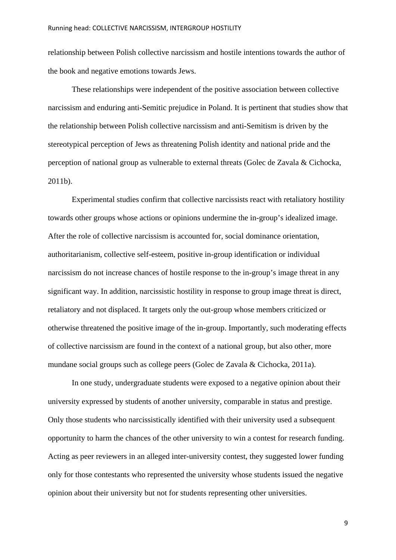relationship between Polish collective narcissism and hostile intentions towards the author of the book and negative emotions towards Jews.

These relationships were independent of the positive association between collective narcissism and enduring anti-Semitic prejudice in Poland. It is pertinent that studies show that the relationship between Polish collective narcissism and anti-Semitism is driven by the stereotypical perception of Jews as threatening Polish identity and national pride and the perception of national group as vulnerable to external threats (Golec de Zavala & Cichocka, 2011b).

Experimental studies confirm that collective narcissists react with retaliatory hostility towards other groups whose actions or opinions undermine the in-group's idealized image. After the role of collective narcissism is accounted for, social dominance orientation, authoritarianism, collective self-esteem, positive in-group identification or individual narcissism do not increase chances of hostile response to the in-group's image threat in any significant way. In addition, narcissistic hostility in response to group image threat is direct, retaliatory and not displaced. It targets only the out-group whose members criticized or otherwise threatened the positive image of the in-group. Importantly, such moderating effects of collective narcissism are found in the context of a national group, but also other, more mundane social groups such as college peers (Golec de Zavala & Cichocka, 2011a).

In one study, undergraduate students were exposed to a negative opinion about their university expressed by students of another university, comparable in status and prestige. Only those students who narcissistically identified with their university used a subsequent opportunity to harm the chances of the other university to win a contest for research funding. Acting as peer reviewers in an alleged inter-university contest, they suggested lower funding only for those contestants who represented the university whose students issued the negative opinion about their university but not for students representing other universities.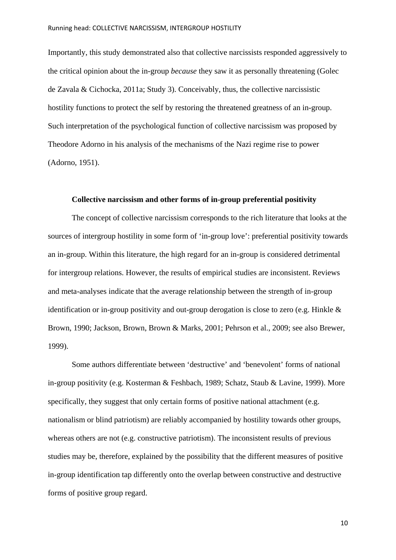Importantly, this study demonstrated also that collective narcissists responded aggressively to the critical opinion about the in-group *because* they saw it as personally threatening (Golec de Zavala & Cichocka, 2011a; Study 3). Conceivably, thus, the collective narcissistic hostility functions to protect the self by restoring the threatened greatness of an in-group. Such interpretation of the psychological function of collective narcissism was proposed by Theodore Adorno in his analysis of the mechanisms of the Nazi regime rise to power (Adorno, 1951).

#### **Collective narcissism and other forms of in-group preferential positivity**

The concept of collective narcissism corresponds to the rich literature that looks at the sources of intergroup hostility in some form of 'in-group love': preferential positivity towards an in-group. Within this literature, the high regard for an in-group is considered detrimental for intergroup relations. However, the results of empirical studies are inconsistent. Reviews and meta-analyses indicate that the average relationship between the strength of in-group identification or in-group positivity and out-group derogation is close to zero (e.g. Hinkle & Brown, 1990; Jackson, Brown, Brown & Marks, 2001; Pehrson et al., 2009; see also Brewer, 1999).

Some authors differentiate between 'destructive' and 'benevolent' forms of national in-group positivity (e.g. Kosterman & Feshbach, 1989; Schatz, Staub & Lavine, 1999). More specifically, they suggest that only certain forms of positive national attachment (e.g. nationalism or blind patriotism) are reliably accompanied by hostility towards other groups, whereas others are not (e.g. constructive patriotism). The inconsistent results of previous studies may be, therefore, explained by the possibility that the different measures of positive in-group identification tap differently onto the overlap between constructive and destructive forms of positive group regard.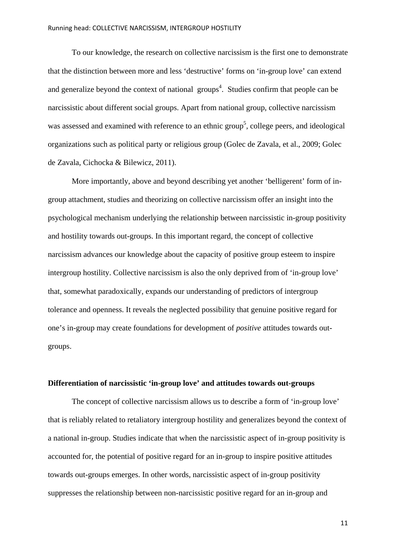To our knowledge, the research on collective narcissism is the first one to demonstrate that the distinction between more and less 'destructive' forms on 'in-group love' can extend and generalize beyond the context of national groups<sup>4</sup>. Studies confirm that people can be narcissistic about different social groups. Apart from national group, collective narcissism was assessed and examined with reference to an ethnic group<sup>5</sup>, college peers, and ideological organizations such as political party or religious group (Golec de Zavala, et al., 2009; Golec de Zavala, Cichocka & Bilewicz, 2011).

More importantly, above and beyond describing yet another 'belligerent' form of ingroup attachment, studies and theorizing on collective narcissism offer an insight into the psychological mechanism underlying the relationship between narcissistic in-group positivity and hostility towards out-groups. In this important regard, the concept of collective narcissism advances our knowledge about the capacity of positive group esteem to inspire intergroup hostility. Collective narcissism is also the only deprived from of 'in-group love' that, somewhat paradoxically, expands our understanding of predictors of intergroup tolerance and openness. It reveals the neglected possibility that genuine positive regard for one's in-group may create foundations for development of *positive* attitudes towards outgroups.

#### **Differentiation of narcissistic 'in-group love' and attitudes towards out-groups**

The concept of collective narcissism allows us to describe a form of 'in-group love' that is reliably related to retaliatory intergroup hostility and generalizes beyond the context of a national in-group. Studies indicate that when the narcissistic aspect of in-group positivity is accounted for, the potential of positive regard for an in-group to inspire positive attitudes towards out-groups emerges. In other words, narcissistic aspect of in-group positivity suppresses the relationship between non-narcissistic positive regard for an in-group and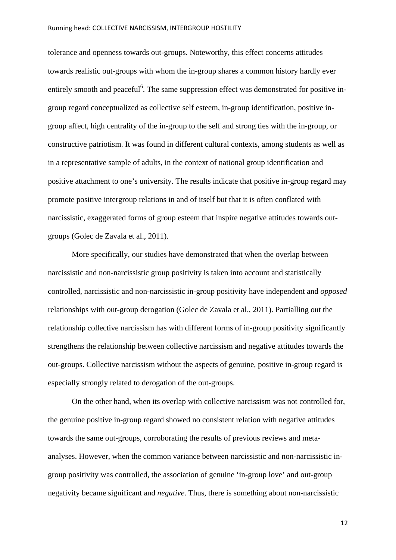#### Running head: COLLECTIVE NARCISSISM, INTERGROUP HOSTILITY

tolerance and openness towards out-groups. Noteworthy, this effect concerns attitudes towards realistic out-groups with whom the in-group shares a common history hardly ever entirely smooth and peaceful<sup>6</sup>. The same suppression effect was demonstrated for positive ingroup regard conceptualized as collective self esteem, in-group identification, positive ingroup affect, high centrality of the in-group to the self and strong ties with the in-group, or constructive patriotism. It was found in different cultural contexts, among students as well as in a representative sample of adults, in the context of national group identification and positive attachment to one's university. The results indicate that positive in-group regard may promote positive intergroup relations in and of itself but that it is often conflated with narcissistic, exaggerated forms of group esteem that inspire negative attitudes towards outgroups (Golec de Zavala et al., 2011).

More specifically, our studies have demonstrated that when the overlap between narcissistic and non-narcissistic group positivity is taken into account and statistically controlled, narcissistic and non-narcissistic in-group positivity have independent and *opposed* relationships with out-group derogation (Golec de Zavala et al., 2011). Partialling out the relationship collective narcissism has with different forms of in-group positivity significantly strengthens the relationship between collective narcissism and negative attitudes towards the out-groups. Collective narcissism without the aspects of genuine, positive in-group regard is especially strongly related to derogation of the out-groups.

On the other hand, when its overlap with collective narcissism was not controlled for, the genuine positive in-group regard showed no consistent relation with negative attitudes towards the same out-groups, corroborating the results of previous reviews and metaanalyses. However, when the common variance between narcissistic and non-narcissistic ingroup positivity was controlled, the association of genuine 'in-group love' and out-group negativity became significant and *negative*. Thus, there is something about non-narcissistic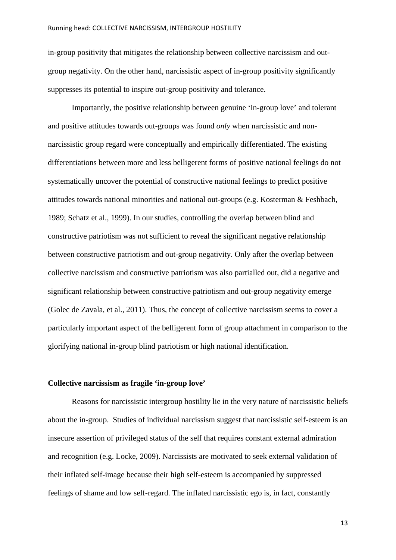in-group positivity that mitigates the relationship between collective narcissism and outgroup negativity. On the other hand, narcissistic aspect of in-group positivity significantly suppresses its potential to inspire out-group positivity and tolerance.

Importantly, the positive relationship between genuine 'in-group love' and tolerant and positive attitudes towards out-groups was found *only* when narcissistic and nonnarcissistic group regard were conceptually and empirically differentiated. The existing differentiations between more and less belligerent forms of positive national feelings do not systematically uncover the potential of constructive national feelings to predict positive attitudes towards national minorities and national out-groups (e.g. Kosterman & Feshbach, 1989; Schatz et al., 1999). In our studies, controlling the overlap between blind and constructive patriotism was not sufficient to reveal the significant negative relationship between constructive patriotism and out-group negativity. Only after the overlap between collective narcissism and constructive patriotism was also partialled out, did a negative and significant relationship between constructive patriotism and out-group negativity emerge (Golec de Zavala, et al., 2011). Thus, the concept of collective narcissism seems to cover a particularly important aspect of the belligerent form of group attachment in comparison to the glorifying national in-group blind patriotism or high national identification.

# **Collective narcissism as fragile 'in-group love'**

Reasons for narcissistic intergroup hostility lie in the very nature of narcissistic beliefs about the in-group. Studies of individual narcissism suggest that narcissistic self-esteem is an insecure assertion of privileged status of the self that requires constant external admiration and recognition (e.g. Locke, 2009). Narcissists are motivated to seek external validation of their inflated self-image because their high self-esteem is accompanied by suppressed feelings of shame and low self-regard. The inflated narcissistic ego is, in fact, constantly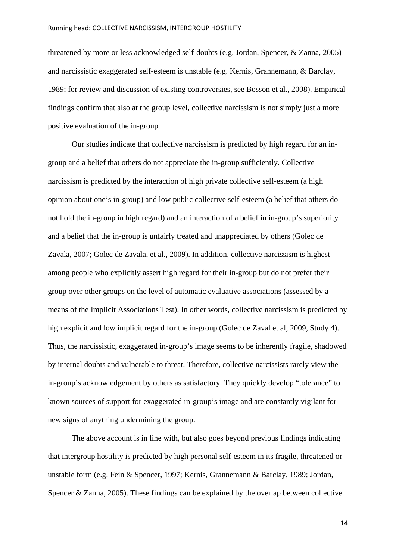threatened by more or less acknowledged self-doubts (e.g. Jordan, Spencer, & Zanna, 2005) and narcissistic exaggerated self-esteem is unstable (e.g. Kernis, Grannemann, & Barclay, 1989; for review and discussion of existing controversies, see Bosson et al., 2008). Empirical findings confirm that also at the group level, collective narcissism is not simply just a more positive evaluation of the in-group.

Our studies indicate that collective narcissism is predicted by high regard for an ingroup and a belief that others do not appreciate the in-group sufficiently. Collective narcissism is predicted by the interaction of high private collective self-esteem (a high opinion about one's in-group) and low public collective self-esteem (a belief that others do not hold the in-group in high regard) and an interaction of a belief in in-group's superiority and a belief that the in-group is unfairly treated and unappreciated by others (Golec de Zavala, 2007; Golec de Zavala, et al., 2009). In addition, collective narcissism is highest among people who explicitly assert high regard for their in-group but do not prefer their group over other groups on the level of automatic evaluative associations (assessed by a means of the Implicit Associations Test). In other words, collective narcissism is predicted by high explicit and low implicit regard for the in-group (Golec de Zaval et al, 2009, Study 4). Thus, the narcissistic, exaggerated in-group's image seems to be inherently fragile, shadowed by internal doubts and vulnerable to threat. Therefore, collective narcissists rarely view the in-group's acknowledgement by others as satisfactory. They quickly develop "tolerance" to known sources of support for exaggerated in-group's image and are constantly vigilant for new signs of anything undermining the group.

The above account is in line with, but also goes beyond previous findings indicating that intergroup hostility is predicted by high personal self-esteem in its fragile, threatened or unstable form (e.g. Fein & Spencer, 1997; Kernis, Grannemann & Barclay, 1989; Jordan, Spencer & Zanna, 2005). These findings can be explained by the overlap between collective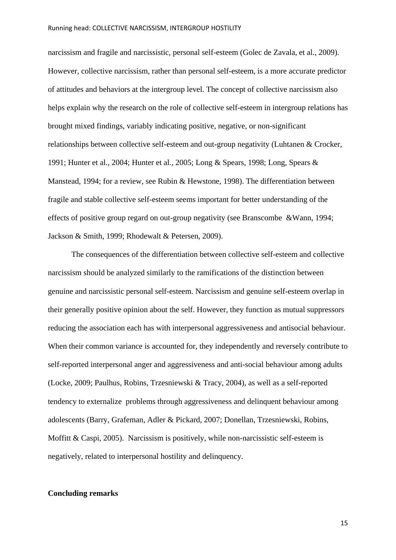narcissism and fragile and narcissistic, personal self-esteem (Golec de Zavala, et al., 2009). However, collective narcissism, rather than personal self-esteem, is a more accurate predictor of attitudes and behaviors at the intergroup level. The concept of collective narcissism also helps explain why the research on the role of collective self-esteem in intergroup relations has brought mixed findings, variably indicating positive, negative, or non-significant relationships between collective self-esteem and out-group negativity (Luhtanen & Crocker, 1991; Hunter et al., 2004; Hunter et al., 2005; Long & Spears, 1998; Long, Spears & Manstead, 1994; for a review, see Rubin & Hewstone, 1998). The differentiation between fragile and stable collective self-esteem seems important for better understanding of the effects of positive group regard on out-group negativity (see Branscombe &Wann, 1994; Jackson & Smith, 1999; Rhodewalt & Petersen, 2009).

The consequences of the differentiation between collective self-esteem and collective narcissism should be analyzed similarly to the ramifications of the distinction between genuine and narcissistic personal self-esteem. Narcissism and genuine self-esteem overlap in their generally positive opinion about the self. However, they function as mutual suppressors reducing the association each has with interpersonal aggressiveness and antisocial behaviour. When their common variance is accounted for, they independently and reversely contribute to self-reported interpersonal anger and aggressiveness and anti-social behaviour among adults (Locke, 2009; Paulhus, Robins, Trzesniewski & Tracy, 2004), as well as a self-reported tendency to externalize problems through aggressiveness and delinquent behaviour among adolescents (Barry, Grafeman, Adler & Pickard, 2007; Donellan, Trzesniewski, Robins, Moffitt  $& Caspi, 2005)$ . Narcissism is positively, while non-narcissistic self-esteem is negatively, related to interpersonal hostility and delinquency.

# **Concluding remarks**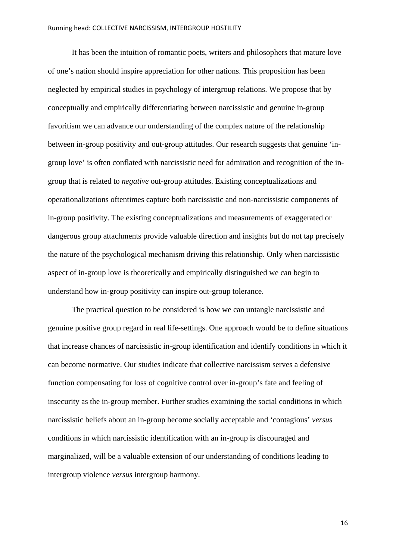It has been the intuition of romantic poets, writers and philosophers that mature love of one's nation should inspire appreciation for other nations. This proposition has been neglected by empirical studies in psychology of intergroup relations. We propose that by conceptually and empirically differentiating between narcissistic and genuine in-group favoritism we can advance our understanding of the complex nature of the relationship between in-group positivity and out-group attitudes. Our research suggests that genuine 'ingroup love' is often conflated with narcissistic need for admiration and recognition of the ingroup that is related to *negative* out-group attitudes. Existing conceptualizations and operationalizations oftentimes capture both narcissistic and non-narcissistic components of in-group positivity. The existing conceptualizations and measurements of exaggerated or dangerous group attachments provide valuable direction and insights but do not tap precisely the nature of the psychological mechanism driving this relationship. Only when narcissistic aspect of in-group love is theoretically and empirically distinguished we can begin to understand how in-group positivity can inspire out-group tolerance.

The practical question to be considered is how we can untangle narcissistic and genuine positive group regard in real life-settings. One approach would be to define situations that increase chances of narcissistic in-group identification and identify conditions in which it can become normative. Our studies indicate that collective narcissism serves a defensive function compensating for loss of cognitive control over in-group's fate and feeling of insecurity as the in-group member. Further studies examining the social conditions in which narcissistic beliefs about an in-group become socially acceptable and 'contagious' *versus* conditions in which narcissistic identification with an in-group is discouraged and marginalized, will be a valuable extension of our understanding of conditions leading to intergroup violence *versus* intergroup harmony.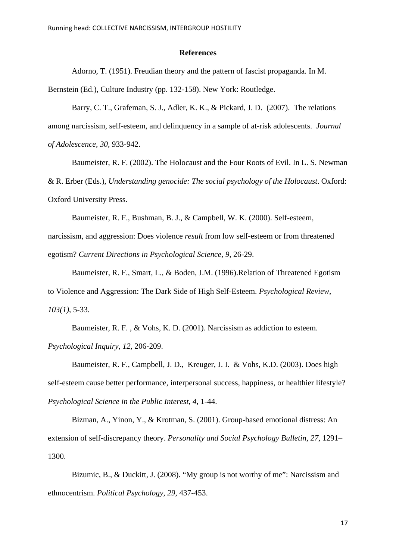#### **References**

Adorno, T. (1951). Freudian theory and the pattern of fascist propaganda. In M.

Bernstein (Ed.), Culture Industry (pp. 132-158). New York: Routledge.

Barry, C. T., Grafeman, S. J., Adler, K. K., & Pickard, J. D. (2007). The relations among narcissism, self-esteem, and delinquency in a sample of at-risk adolescents. *Journal of Adolescence, 30,* 933-942.

Baumeister, R. F. (2002). The Holocaust and the Four Roots of Evil. In L. S. Newman & R. Erber (Eds.), *Understanding genocide: The social psychology of the Holocaust*. Oxford: Oxford University Press.

Baumeister, R. F., Bushman, B. J., & Campbell, W. K. (2000). Self-esteem, narcissism, and aggression: Does violence *result* from low self-esteem or from threatened egotism? *Current Directions in Psychological Science, 9*, 26-29.

Baumeister, R. F., Smart, L., & Boden, J.M. (1996).Relation of Threatened Egotism to Violence and Aggression: The Dark Side of High Self-Esteem. *Psychological Review, 103(1)*, 5-33.

Baumeister, R. F. , & Vohs, K. D. (2001). Narcissism as addiction to esteem. *Psychological Inquiry, 12,* 206-209.

Baumeister, R. F., Campbell, J. D., Kreuger, J. I. & Vohs, K.D. (2003). Does high self-esteem cause better performance, interpersonal success, happiness, or healthier lifestyle? *Psychological Science in the Public Interest, 4*, 1-44.

Bizman, A., Yinon, Y., & Krotman, S. (2001). Group-based emotional distress: An extension of self-discrepancy theory. *Personality and Social Psychology Bulletin, 27*, 1291– 1300.

Bizumic, B., & Duckitt, J. (2008). "My group is not worthy of me": Narcissism and ethnocentrism. *Political Psychology, 29*, 437-453.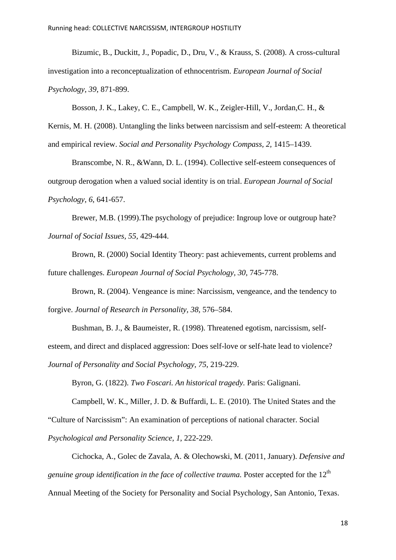Bizumic, B., Duckitt, J., Popadic, D., Dru, V., & Krauss, S. (2008). A cross-cultural investigation into a reconceptualization of ethnocentrism. *European Journal of Social Psychology, 39*, 871-899.

Bosson, J. K., Lakey, C. E., Campbell, W. K., Zeigler-Hill, V., Jordan,C. H., &

Kernis, M. H. (2008). Untangling the links between narcissism and self-esteem: A theoretical and empirical review. *Social and Personality Psychology Compass, 2,* 1415–1439.

Branscombe, N. R., &Wann, D. L. (1994). Collective self-esteem consequences of outgroup derogation when a valued social identity is on trial. *European Journal of Social Psychology*, *6*, 641-657.

Brewer, M.B. (1999).The psychology of prejudice: Ingroup love or outgroup hate? *Journal of Social Issues, 55,* 429-444.

Brown, R. (2000) Social Identity Theory: past achievements, current problems and future challenges. *European Journal of Social Psychology, 30,* 745-778.

Brown, R. (2004). Vengeance is mine: Narcissism, vengeance, and the tendency to forgive. *Journal of Research in Personality, 38,* 576–584.

Bushman, B. J., & Baumeister, R. (1998). Threatened egotism, narcissism, selfesteem, and direct and displaced aggression: Does self-love or self-hate lead to violence? *Journal of Personality and Social Psychology, 75*, 219-229.

Byron, G. (1822). *Two Foscari. An historical tragedy.* Paris: Galignani.

Campbell, W. K., Miller, J. D. & Buffardi, L. E. (2010). The United States and the

"Culture of Narcissism": An examination of perceptions of national character. Social

*Psychological and Personality Science, 1*, 222-229.

Cichocka, A., Golec de Zavala, A. & Olechowski, M. (2011, January). *Defensive and genuine group identification in the face of collective trauma.* Poster accepted for the 12<sup>th</sup> Annual Meeting of the Society for Personality and Social Psychology, San Antonio, Texas.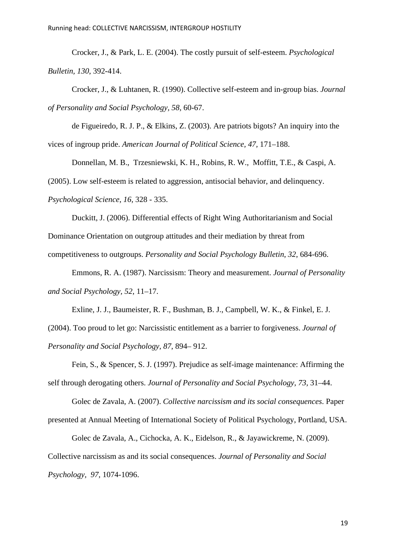Crocker, J., & Park, L. E. (2004). The costly pursuit of self-esteem. *Psychological Bulletin, 130*, 392-414.

Crocker, J., & Luhtanen, R. (1990). Collective self-esteem and in-group bias. *Journal of Personality and Social Psychology, 58,* 60-67.

de Figueiredo, R. J. P., & Elkins, Z. (2003). Are patriots bigots? An inquiry into the vices of ingroup pride. *American Journal of Political Science, 47,* 171–188.

Donnellan, M. B., Trzesniewski, K. H., Robins, R. W., Moffitt, T.E., & Caspi, A. (2005). Low self-esteem is related to aggression, antisocial behavior, and delinquency. *Psychological Science, 16,* 328 - 335.

Duckitt, J. (2006). Differential effects of Right Wing Authoritarianism and Social Dominance Orientation on outgroup attitudes and their mediation by threat from competitiveness to outgroups. *Personality and Social Psychology Bulletin*, *32*, 684-696.

Emmons, R. A. (1987). Narcissism: Theory and measurement. *Journal of Personality and Social Psychology, 52*, 11–17.

Exline, J. J., Baumeister, R. F., Bushman, B. J., Campbell, W. K., & Finkel, E. J.

(2004). Too proud to let go: Narcissistic entitlement as a barrier to forgiveness. *Journal of Personality and Social Psychology, 87*, 894– 912.

Fein, S., & Spencer, S. J. (1997). Prejudice as self-image maintenance: Affirming the self through derogating others. *Journal of Personality and Social Psychology, 73,* 31–44.

Golec de Zavala, A. (2007). *Collective narcissism and its social consequences*. Paper presented at Annual Meeting of International Society of Political Psychology, Portland, USA.

Golec de Zavala, A., Cichocka, A. K., Eidelson, R., & Jayawickreme, N. (2009). Collective narcissism as and its social consequences. *Journal of Personality and Social Psychology, 97,* 1074-1096.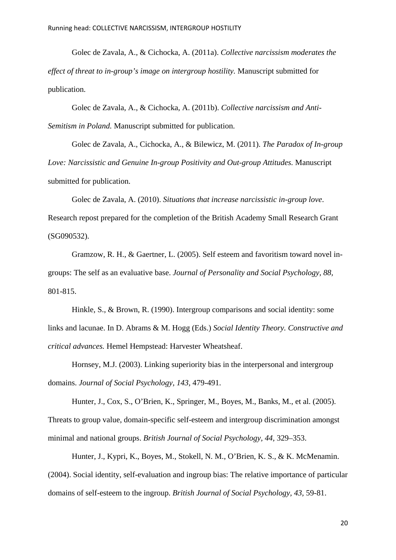Golec de Zavala, A., & Cichocka, A. (2011a). *Collective narcissism moderates the effect of threat to in-group's image on intergroup hostility.* Manuscript submitted for publication.

Golec de Zavala, A., & Cichocka, A. (2011b). *Collective narcissism and Anti-Semitism in Poland.* Manuscript submitted for publication.

Golec de Zavala, A., Cichocka, A., & Bilewicz, M. (2011). *The Paradox of In-group Love: Narcissistic and Genuine In-group Positivity and Out-group Attitudes.* Manuscript submitted for publication.

Golec de Zavala, A. (2010). *Situations that increase narcissistic in-group love*. Research repost prepared for the completion of the British Academy Small Research Grant (SG090532).

Gramzow, R. H., & Gaertner, L. (2005). Self esteem and favoritism toward novel ingroups: The self as an evaluative base. *Journal of Personality and Social Psychology, 88,*  801-815.

Hinkle, S., & Brown, R. (1990). Intergroup comparisons and social identity: some links and lacunae. In D. Abrams & M. Hogg (Eds.) *Social Identity Theory. Constructive and critical advances.* Hemel Hempstead: Harvester Wheatsheaf.

Hornsey, M.J. (2003). Linking superiority bias in the interpersonal and intergroup domains. *Journal of Social Psychology, 143,* 479-491.

Hunter, J., Cox, S., O'Brien, K., Springer, M., Boyes, M., Banks, M., et al. (2005). Threats to group value, domain-specific self-esteem and intergroup discrimination amongst minimal and national groups. *British Journal of Social Psychology, 44,* 329–353.

Hunter, J., Kypri, K., Boyes, M., Stokell, N. M., O'Brien, K. S., & K. McMenamin. (2004). Social identity, self-evaluation and ingroup bias: The relative importance of particular domains of self-esteem to the ingroup. *British Journal of Social Psychology, 43,* 59-81.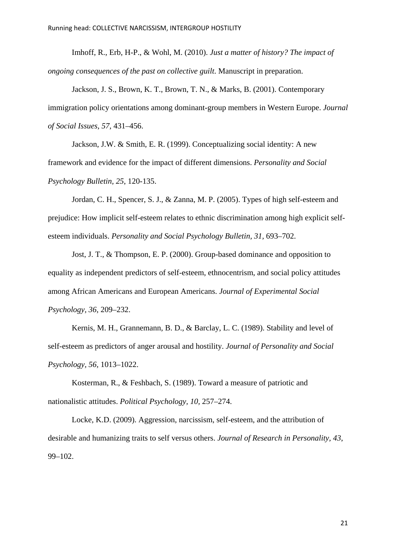Imhoff, R., Erb, H-P., & Wohl, M. (2010). *Just a matter of history? The impact of ongoing consequences of the past on collective guilt*. Manuscript in preparation.

Jackson, J. S., Brown, K. T., Brown, T. N., & Marks, B. (2001). Contemporary immigration policy orientations among dominant-group members in Western Europe. *Journal of Social Issues, 57,* 431–456.

Jackson, J.W. & Smith, E. R. (1999). Conceptualizing social identity: A new framework and evidence for the impact of different dimensions. *Personality and Social Psychology Bulletin, 25*, 120-135.

Jordan, C. H., Spencer, S. J., & Zanna, M. P. (2005). Types of high self-esteem and prejudice: How implicit self-esteem relates to ethnic discrimination among high explicit selfesteem individuals. *Personality and Social Psychology Bulletin, 31,* 693–702.

Jost, J. T., & Thompson, E. P. (2000). Group-based dominance and opposition to equality as independent predictors of self-esteem, ethnocentrism, and social policy attitudes among African Americans and European Americans. *Journal of Experimental Social Psychology, 36*, 209–232.

Kernis, M. H., Grannemann, B. D., & Barclay, L. C. (1989). Stability and level of self-esteem as predictors of anger arousal and hostility. *Journal of Personality and Social Psychology, 56,* 1013–1022.

Kosterman, R., & Feshbach, S. (1989). Toward a measure of patriotic and nationalistic attitudes. *Political Psychology, 10,* 257–274.

Locke, K.D. (2009). Aggression, narcissism, self-esteem, and the attribution of desirable and humanizing traits to self versus others. *Journal of Research in Personality, 43*, 99–102.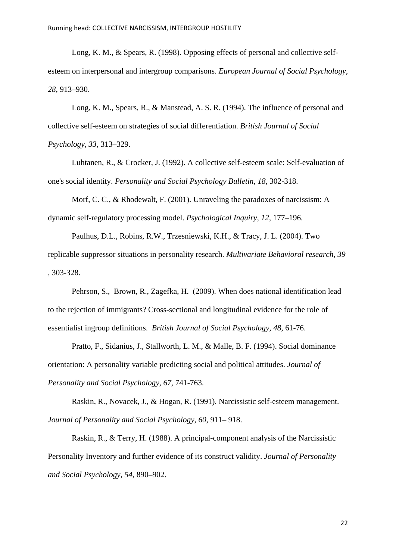Long, K. M., & Spears, R. (1998). Opposing effects of personal and collective selfesteem on interpersonal and intergroup comparisons. *European Journal of Social Psychology, 28,* 913–930.

Long, K. M., Spears, R., & Manstead, A. S. R. (1994). The influence of personal and collective self-esteem on strategies of social differentiation. *British Journal of Social Psychology, 33,* 313–329.

Luhtanen, R., & Crocker, J. (1992). A collective self-esteem scale: Self-evaluation of one's social identity. *Personality and Social Psychology Bulletin, 18*, 302-318.

Morf, C. C., & Rhodewalt, F. (2001). Unraveling the paradoxes of narcissism: A dynamic self-regulatory processing model. *Psychological Inquiry, 12,* 177–196.

Paulhus, D.L., Robins, R.W., Trzesniewski, K.H., & Tracy, J. L. (2004). Two replicable suppressor situations in personality research. *Multivariate Behavioral research, 39 ,* 303-328.

Pehrson, S., Brown, R., Zagefka, H. (2009). When does national identification lead to the rejection of immigrants? Cross-sectional and longitudinal evidence for the role of essentialist ingroup definitions. *British Journal of Social Psychology, 48,* 61-76.

Pratto, F., Sidanius, J., Stallworth, L. M., & Malle, B. F. (1994). Social dominance orientation: A personality variable predicting social and political attitudes. *Journal of Personality and Social Psychology, 67*, 741-763.

Raskin, R., Novacek, J., & Hogan, R. (1991). Narcissistic self-esteem management. *Journal of Personality and Social Psychology, 60,* 911– 918.

Raskin, R., & Terry, H. (1988). A principal-component analysis of the Narcissistic Personality Inventory and further evidence of its construct validity. *Journal of Personality and Social Psychology, 54*, 890–902.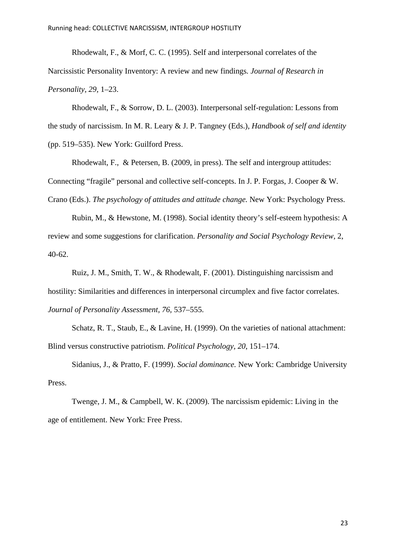Rhodewalt, F., & Morf, C. C. (1995). Self and interpersonal correlates of the Narcissistic Personality Inventory: A review and new findings*. Journal of Research in Personality, 29,* 1–23.

Rhodewalt, F., & Sorrow, D. L. (2003). Interpersonal self-regulation: Lessons from the study of narcissism. In M. R. Leary & J. P. Tangney (Eds.), *Handbook of self and identity*  (pp. 519–535). New York: Guilford Press.

Rhodewalt, F., & Petersen, B. (2009, in press). The self and intergroup attitudes: Connecting "fragile" personal and collective self-concepts. In J. P. Forgas, J. Cooper & W. Crano (Eds.). *The psychology of attitudes and attitude change.* New York: Psychology Press.

Rubin, M., & Hewstone, M. (1998). Social identity theory's self-esteem hypothesis: A review and some suggestions for clarification. *Personality and Social Psychology Review,* 2, 40-62.

Ruiz, J. M., Smith, T. W., & Rhodewalt, F. (2001). Distinguishing narcissism and hostility: Similarities and differences in interpersonal circumplex and five factor correlates. *Journal of Personality Assessment, 76,* 537–555.

Schatz, R. T., Staub, E., & Lavine, H. (1999). On the varieties of national attachment: Blind versus constructive patriotism. *Political Psychology, 20*, 151–174.

Sidanius, J., & Pratto, F. (1999). *Social dominance.* New York: Cambridge University Press.

Twenge, J. M., & Campbell, W. K. (2009). The narcissism epidemic: Living in the age of entitlement. New York: Free Press.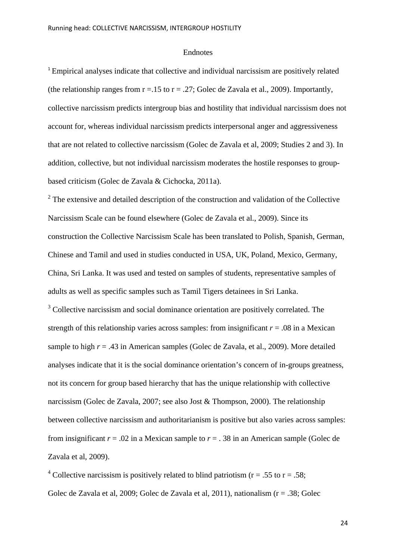#### Endnotes

<sup>1</sup> Empirical analyses indicate that collective and individual narcissism are positively related (the relationship ranges from  $r = .15$  to  $r = .27$ ; Golec de Zavala et al., 2009). Importantly, collective narcissism predicts intergroup bias and hostility that individual narcissism does not account for, whereas individual narcissism predicts interpersonal anger and aggressiveness that are not related to collective narcissism (Golec de Zavala et al, 2009; Studies 2 and 3). In addition, collective, but not individual narcissism moderates the hostile responses to groupbased criticism (Golec de Zavala & Cichocka, 2011a).

 $2$  The extensive and detailed description of the construction and validation of the Collective Narcissism Scale can be found elsewhere (Golec de Zavala et al., 2009). Since its construction the Collective Narcissism Scale has been translated to Polish, Spanish, German, Chinese and Tamil and used in studies conducted in USA, UK, Poland, Mexico, Germany, China, Sri Lanka. It was used and tested on samples of students, representative samples of adults as well as specific samples such as Tamil Tigers detainees in Sri Lanka.

 $3$  Collective narcissism and social dominance orientation are positively correlated. The strength of this relationship varies across samples: from insignificant  $r = .08$  in a Mexican sample to high  $r = .43$  in American samples (Golec de Zavala, et al., 2009). More detailed analyses indicate that it is the social dominance orientation's concern of in-groups greatness, not its concern for group based hierarchy that has the unique relationship with collective narcissism (Golec de Zavala, 2007; see also Jost & Thompson, 2000). The relationship between collective narcissism and authoritarianism is positive but also varies across samples: from insignificant  $r = .02$  in a Mexican sample to  $r = .38$  in an American sample (Golec de Zavala et al, 2009).

<sup>4</sup> Collective narcissism is positively related to blind patriotism ( $r = .55$  to  $r = .58$ ; Golec de Zavala et al, 2009; Golec de Zavala et al, 2011), nationalism (r = .38; Golec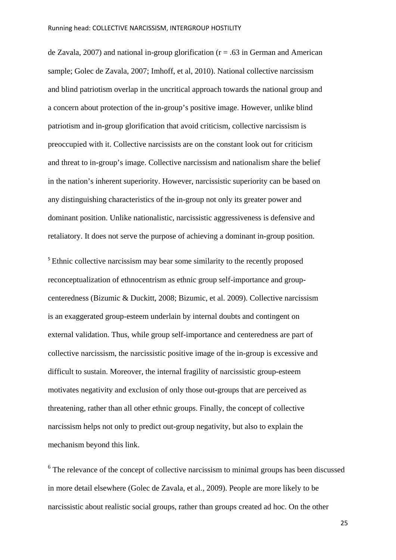de Zavala, 2007) and national in-group glorification ( $r = .63$  in German and American sample; Golec de Zavala, 2007; Imhoff, et al, 2010). National collective narcissism and blind patriotism overlap in the uncritical approach towards the national group and a concern about protection of the in-group's positive image. However, unlike blind patriotism and in-group glorification that avoid criticism, collective narcissism is preoccupied with it. Collective narcissists are on the constant look out for criticism and threat to in-group's image. Collective narcissism and nationalism share the belief in the nation's inherent superiority. However, narcissistic superiority can be based on any distinguishing characteristics of the in-group not only its greater power and dominant position. Unlike nationalistic, narcissistic aggressiveness is defensive and retaliatory. It does not serve the purpose of achieving a dominant in-group position.

<sup>5</sup> Ethnic collective narcissism may bear some similarity to the recently proposed reconceptualization of ethnocentrism as ethnic group self-importance and groupcenteredness (Bizumic & Duckitt, 2008; Bizumic, et al. 2009). Collective narcissism is an exaggerated group-esteem underlain by internal doubts and contingent on external validation. Thus, while group self-importance and centeredness are part of collective narcissism, the narcissistic positive image of the in-group is excessive and difficult to sustain. Moreover, the internal fragility of narcissistic group-esteem motivates negativity and exclusion of only those out-groups that are perceived as threatening, rather than all other ethnic groups. Finally, the concept of collective narcissism helps not only to predict out-group negativity, but also to explain the mechanism beyond this link.

<sup>6</sup> The relevance of the concept of collective narcissism to minimal groups has been discussed in more detail elsewhere (Golec de Zavala, et al., 2009). People are more likely to be narcissistic about realistic social groups, rather than groups created ad hoc. On the other